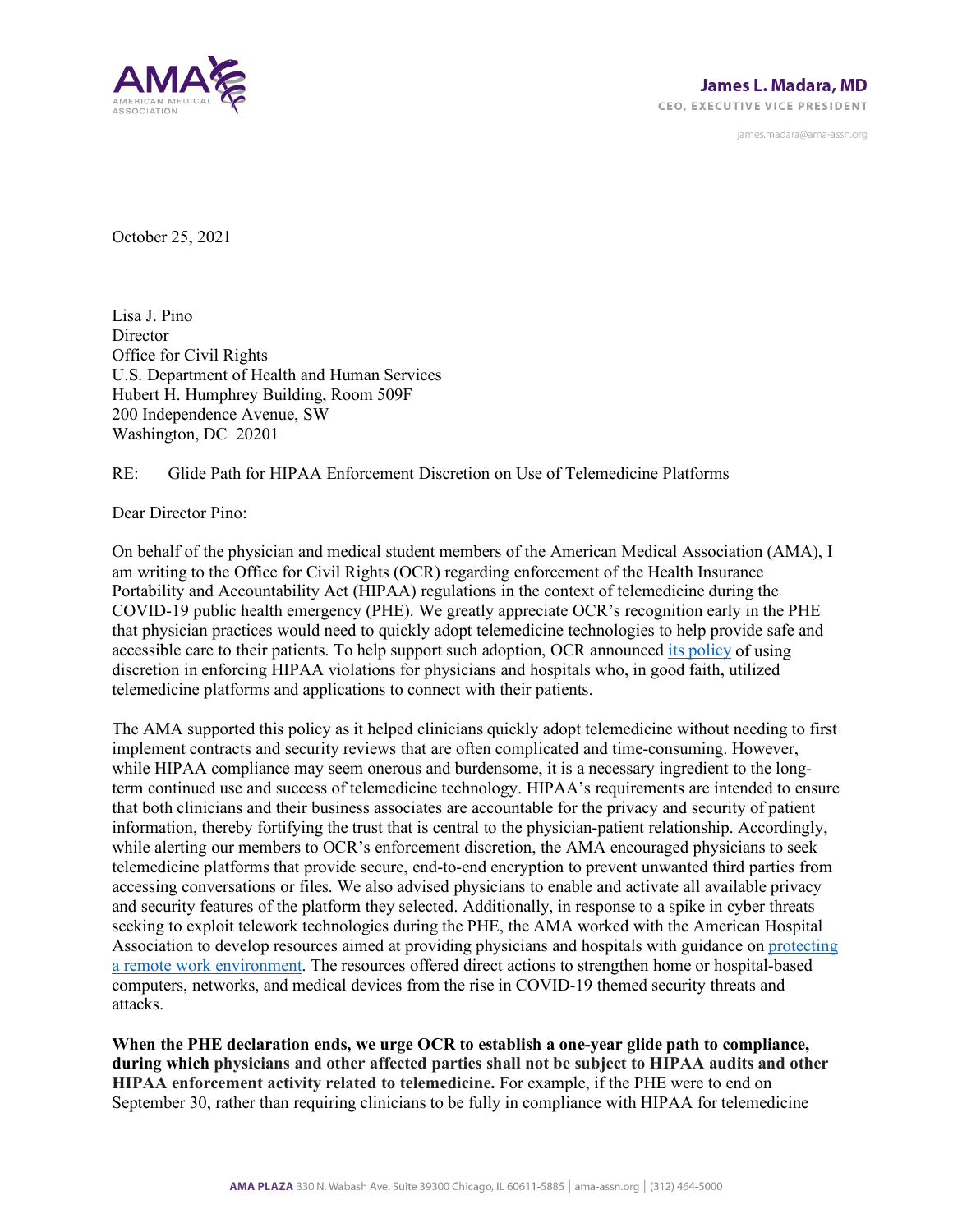

james.madara@ama-assn.org

October 25, 2021

Lisa J. Pino **Director** Office for Civil Rights U.S. Department of Health and Human Services Hubert H. Humphrey Building, Room 509F 200 Independence Avenue, SW Washington, DC 20201

## RE: Glide Path for HIPAA Enforcement Discretion on Use of Telemedicine Platforms

Dear Director Pino:

On behalf of the physician and medical student members of the American Medical Association (AMA), I am writing to the Office for Civil Rights (OCR) regarding enforcement of the Health Insurance Portability and Accountability Act (HIPAA) regulations in the context of telemedicine during the COVID-19 public health emergency (PHE). We greatly appreciate OCR's recognition early in the PHE that physician practices would need to quickly adopt telemedicine technologies to help provide safe and accessible care to their patients. To help support such adoption, OCR announced [its policy](https://www.hhs.gov/hipaa/for-professionals/special-topics/emergency-preparedness/notification-enforcement-discretion-telehealth/index.html) of using discretion in enforcing HIPAA violations for physicians and hospitals who, in good faith, utilized telemedicine platforms and applications to connect with their patients.

The AMA supported this policy as it helped clinicians quickly adopt telemedicine without needing to first implement contracts and security reviews that are often complicated and time-consuming. However, while HIPAA compliance may seem onerous and burdensome, it is a necessary ingredient to the longterm continued use and success of telemedicine technology. HIPAA's requirements are intended to ensure that both clinicians and their business associates are accountable for the privacy and security of patient information, thereby fortifying the trust that is central to the physician-patient relationship. Accordingly, while alerting our members to OCR's enforcement discretion, the AMA encouraged physicians to seek telemedicine platforms that provide secure, end-to-end encryption to prevent unwanted third parties from accessing conversations or files. We also advised physicians to enable and activate all available privacy and security features of the platform they selected. Additionally, in response to a spike in cyber threats seeking to exploit telework technologies during the PHE, the AMA worked with the American Hospital Association to develop resources aimed at providing physicians and hospitals with guidance on [protecting](https://www.ama-assn.org/press-center/press-releases/ama-aha-respond-rise-cyber-threats-exploiting-covid-19-pandemic)  [a remote work environment.](https://www.ama-assn.org/press-center/press-releases/ama-aha-respond-rise-cyber-threats-exploiting-covid-19-pandemic) The resources offered direct actions to strengthen home or hospital-based computers, networks, and medical devices from the rise in COVID-19 themed security threats and attacks.

**When the PHE declaration ends, we urge OCR to establish a one-year glide path to compliance, during which physicians and other affected parties shall not be subject to HIPAA audits and other HIPAA enforcement activity related to telemedicine.** For example, if the PHE were to end on September 30, rather than requiring clinicians to be fully in compliance with HIPAA for telemedicine